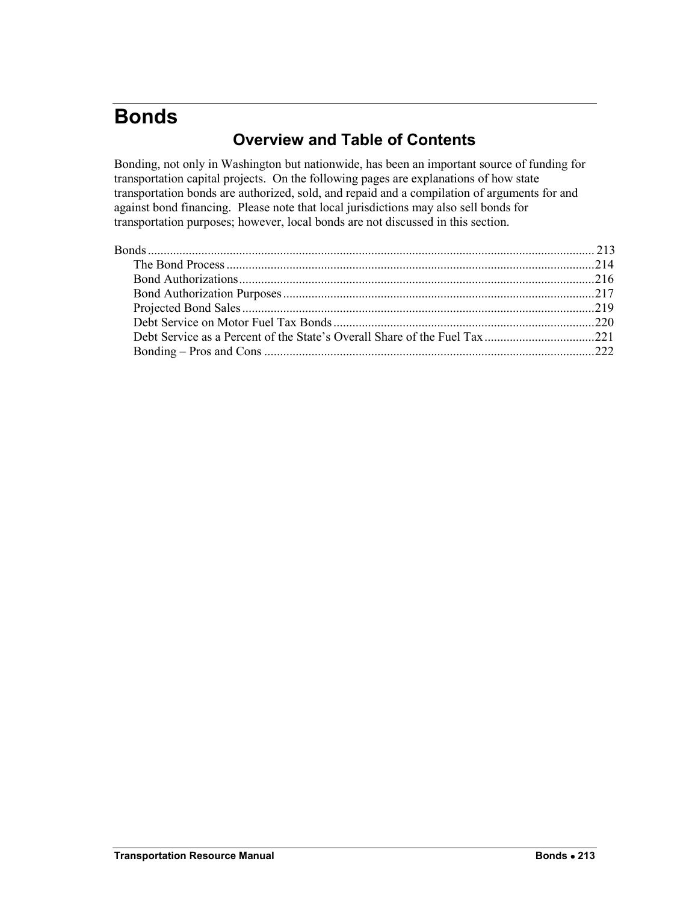# <span id="page-0-0"></span>**Bonds**

# **Overview and Table of Contents**

Bonding, not only in Washington but nationwide, has been an important source of funding for transportation capital projects. On the following pages are explanations of how state transportation bonds are authorized, sold, and repaid and a compilation of arguments for and against bond financing. Please note that local jurisdictions may also sell bonds for transportation purposes; however, local bonds are not discussed in this section.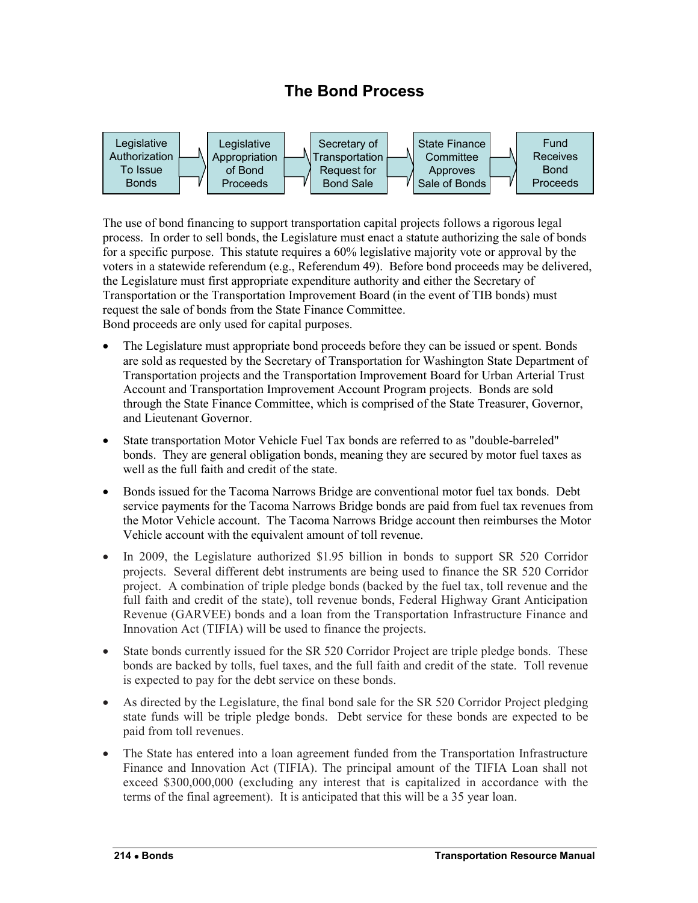### **The Bond Process**

<span id="page-1-0"></span>

The use of bond financing to support transportation capital projects follows a rigorous legal process. In order to sell bonds, the Legislature must enact a statute authorizing the sale of bonds for a specific purpose. This statute requires a 60% legislative majority vote or approval by the voters in a statewide referendum (e.g., Referendum 49). Before bond proceeds may be delivered, the Legislature must first appropriate expenditure authority and either the Secretary of Transportation or the Transportation Improvement Board (in the event of TIB bonds) must request the sale of bonds from the State Finance Committee. Bond proceeds are only used for capital purposes.

- The Legislature must appropriate bond proceeds before they can be issued or spent. Bonds are sold as requested by the Secretary of Transportation for Washington State Department of Transportation projects and the Transportation Improvement Board for Urban Arterial Trust Account and Transportation Improvement Account Program projects. Bonds are sold through the State Finance Committee, which is comprised of the State Treasurer, Governor, and Lieutenant Governor.
- State transportation Motor Vehicle Fuel Tax bonds are referred to as "double-barreled" bonds. They are general obligation bonds, meaning they are secured by motor fuel taxes as well as the full faith and credit of the state.
- Bonds issued for the Tacoma Narrows Bridge are conventional motor fuel tax bonds. Debt service payments for the Tacoma Narrows Bridge bonds are paid from fuel tax revenues from the Motor Vehicle account. The Tacoma Narrows Bridge account then reimburses the Motor Vehicle account with the equivalent amount of toll revenue.
- In 2009, the Legislature authorized \$1.95 billion in bonds to support SR 520 Corridor projects. Several different debt instruments are being used to finance the SR 520 Corridor project. A combination of triple pledge bonds (backed by the fuel tax, toll revenue and the full faith and credit of the state), toll revenue bonds, Federal Highway Grant Anticipation Revenue (GARVEE) bonds and a loan from the Transportation Infrastructure Finance and Innovation Act (TIFIA) will be used to finance the projects.
- State bonds currently issued for the SR 520 Corridor Project are triple pledge bonds. These bonds are backed by tolls, fuel taxes, and the full faith and credit of the state. Toll revenue is expected to pay for the debt service on these bonds.
- As directed by the Legislature, the final bond sale for the SR 520 Corridor Project pledging state funds will be triple pledge bonds. Debt service for these bonds are expected to be paid from toll revenues.
- The State has entered into a loan agreement funded from the Transportation Infrastructure Finance and Innovation Act (TIFIA). The principal amount of the TIFIA Loan shall not exceed \$300,000,000 (excluding any interest that is capitalized in accordance with the terms of the final agreement). It is anticipated that this will be a 35 year loan.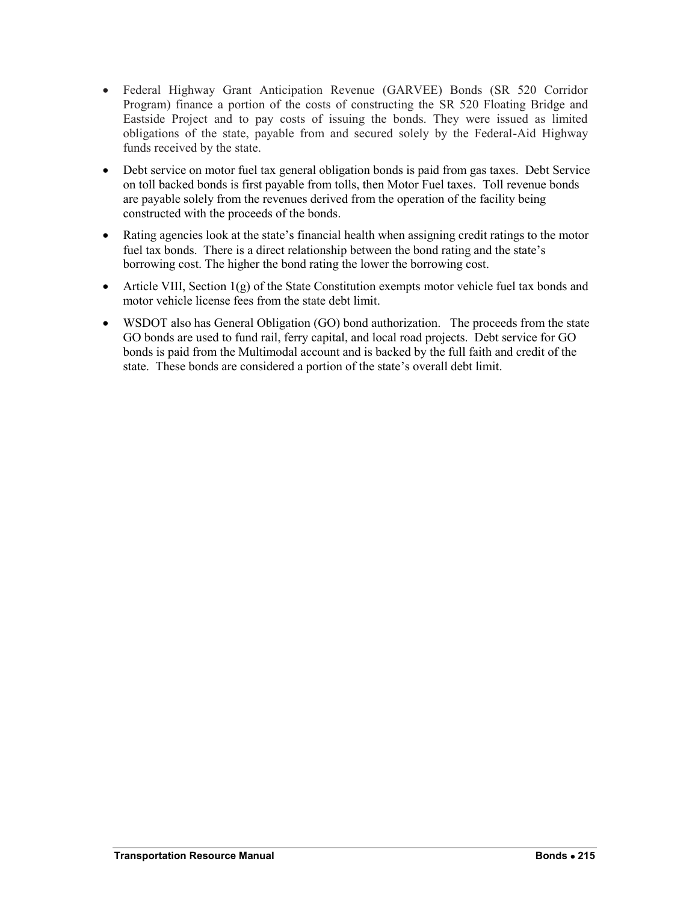- Federal Highway Grant Anticipation Revenue (GARVEE) Bonds (SR 520 Corridor Program) finance a portion of the costs of constructing the SR 520 Floating Bridge and Eastside Project and to pay costs of issuing the bonds. They were issued as limited obligations of the state, payable from and secured solely by the Federal-Aid Highway funds received by the state.
- Debt service on motor fuel tax general obligation bonds is paid from gas taxes. Debt Service on toll backed bonds is first payable from tolls, then Motor Fuel taxes. Toll revenue bonds are payable solely from the revenues derived from the operation of the facility being constructed with the proceeds of the bonds.
- Rating agencies look at the state's financial health when assigning credit ratings to the motor fuel tax bonds. There is a direct relationship between the bond rating and the state's borrowing cost. The higher the bond rating the lower the borrowing cost.
- Article VIII, Section  $1(g)$  of the State Constitution exempts motor vehicle fuel tax bonds and motor vehicle license fees from the state debt limit.
- WSDOT also has General Obligation (GO) bond authorization. The proceeds from the state GO bonds are used to fund rail, ferry capital, and local road projects. Debt service for GO bonds is paid from the Multimodal account and is backed by the full faith and credit of the state. These bonds are considered a portion of the state's overall debt limit.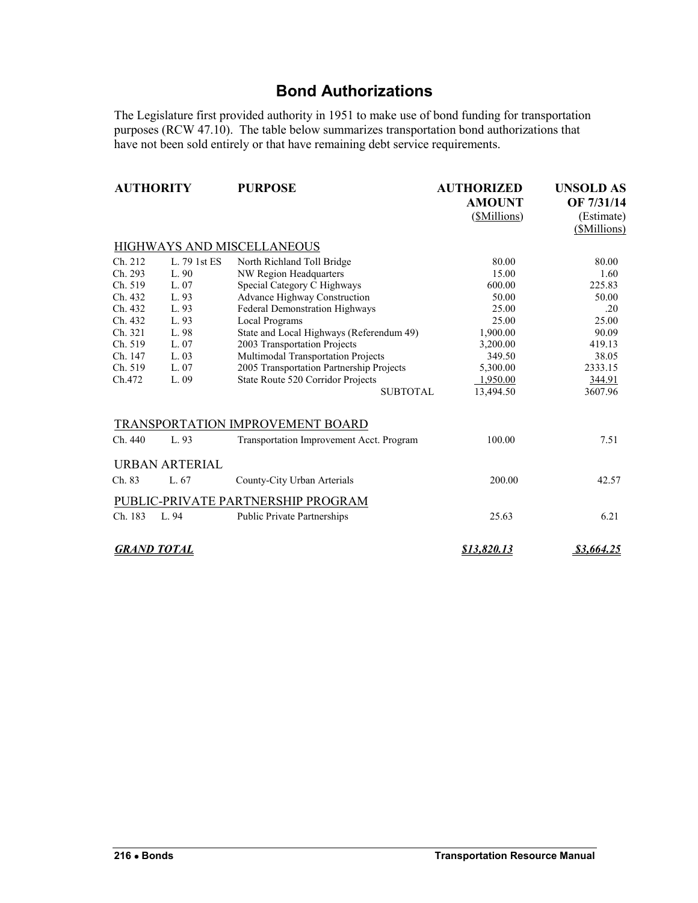## **Bond Authorizations**

<span id="page-3-0"></span>The Legislature first provided authority in 1951 to make use of bond funding for transportation purposes (RCW 47.10). The table below summarizes transportation bond authorizations that have not been sold entirely or that have remaining debt service requirements.

|                            | <b>AUTHORITY</b>      | <b>PURPOSE</b>                           | <b>AUTHORIZED</b><br><b>AMOUNT</b><br>( <i>SMillions</i> ) | <b>UNSOLD AS</b><br>OF 7/31/14<br>(Estimate)<br>(\$Millions) |  |  |  |  |  |
|----------------------------|-----------------------|------------------------------------------|------------------------------------------------------------|--------------------------------------------------------------|--|--|--|--|--|
| HIGHWAYS AND MISCELLANEOUS |                       |                                          |                                                            |                                                              |  |  |  |  |  |
| Ch. 212                    | L. 79 1st ES          | North Richland Toll Bridge               | 80.00                                                      | 80.00                                                        |  |  |  |  |  |
| Ch. 293                    | L. 90                 | NW Region Headquarters                   | 15.00                                                      | 1.60                                                         |  |  |  |  |  |
| Ch. 519                    | L. 07                 | Special Category C Highways              | 600.00                                                     | 225.83                                                       |  |  |  |  |  |
| Ch. 432                    | L. 93                 | Advance Highway Construction             | 50.00                                                      | 50.00                                                        |  |  |  |  |  |
| Ch. 432                    | L. 93                 | Federal Demonstration Highways           | 25.00                                                      | .20                                                          |  |  |  |  |  |
| Ch. 432                    | L. 93                 | <b>Local Programs</b>                    | 25.00                                                      | 25.00                                                        |  |  |  |  |  |
| Ch. 321                    | L. 98                 | State and Local Highways (Referendum 49) | 1,900.00                                                   | 90.09                                                        |  |  |  |  |  |
| Ch. 519                    | L. 07                 | 2003 Transportation Projects             | 3,200.00                                                   | 419.13                                                       |  |  |  |  |  |
| Ch. 147                    | L. 03                 | Multimodal Transportation Projects       | 349.50                                                     | 38.05                                                        |  |  |  |  |  |
| Ch. 519                    | L. 07                 | 2005 Transportation Partnership Projects | 5,300.00                                                   | 2333.15                                                      |  |  |  |  |  |
| Ch.472                     | L. 09                 | State Route 520 Corridor Projects        | 1,950.00                                                   | 344.91                                                       |  |  |  |  |  |
|                            |                       | <b>SUBTOTAL</b>                          | 13,494.50                                                  | 3607.96                                                      |  |  |  |  |  |
|                            |                       | TRANSPORTATION IMPROVEMENT BOARD         |                                                            |                                                              |  |  |  |  |  |
| Ch. 440                    | L. 93                 | Transportation Improvement Acct. Program | 100.00                                                     | 7.51                                                         |  |  |  |  |  |
|                            | <b>URBAN ARTERIAL</b> |                                          |                                                            |                                                              |  |  |  |  |  |
| Ch. 83                     | L. 67                 | County-City Urban Arterials              | 200.00                                                     | 42.57                                                        |  |  |  |  |  |
|                            |                       | PUBLIC-PRIVATE PARTNERSHIP PROGRAM       |                                                            |                                                              |  |  |  |  |  |
| Ch. 183                    | L. 94                 | Public Private Partnerships              | 25.63                                                      | 6.21                                                         |  |  |  |  |  |
|                            | <u>GRAND TOTAL</u>    |                                          | \$13,820.13                                                | <u>\$3,664.25</u>                                            |  |  |  |  |  |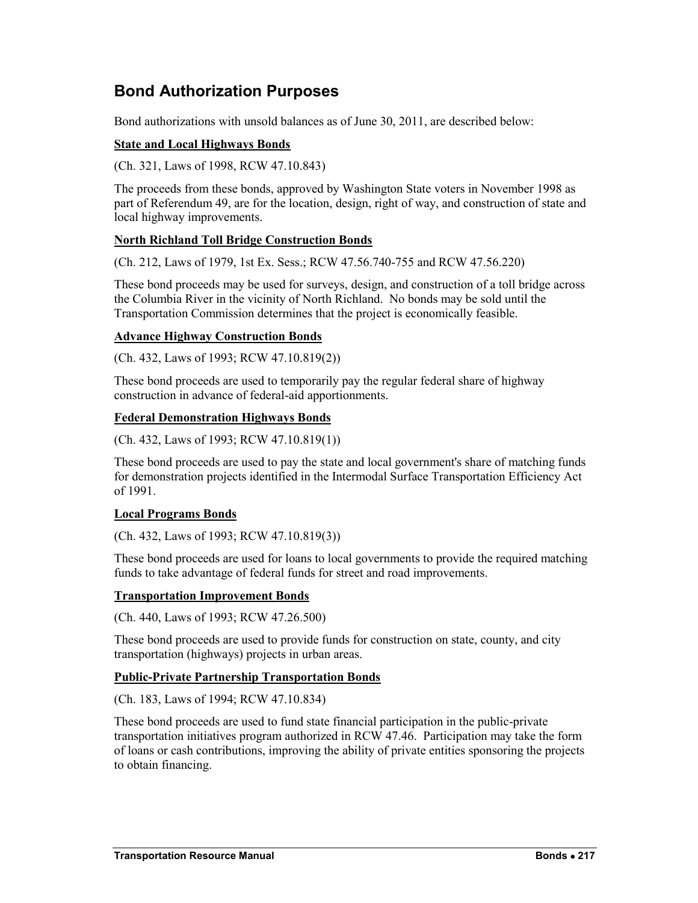## <span id="page-4-0"></span>**Bond Authorization Purposes**

Bond authorizations with unsold balances as of June 30, 2011, are described below:

### **State and Local Highways Bonds**

(Ch. 321, Laws of 1998, RCW 47.10.843)

The proceeds from these bonds, approved by Washington State voters in November 1998 as part of Referendum 49, are for the location, design, right of way, and construction of state and local highway improvements.

#### **North Richland Toll Bridge Construction Bonds**

(Ch. 212, Laws of 1979, 1st Ex. Sess.; RCW 47.56.740-755 and RCW 47.56.220)

These bond proceeds may be used for surveys, design, and construction of a toll bridge across the Columbia River in the vicinity of North Richland. No bonds may be sold until the Transportation Commission determines that the project is economically feasible.

#### **Advance Highway Construction Bonds**

(Ch. 432, Laws of 1993; RCW 47.10.819(2))

These bond proceeds are used to temporarily pay the regular federal share of highway construction in advance of federal-aid apportionments.

#### **Federal Demonstration Highways Bonds**

(Ch. 432, Laws of 1993; RCW 47.10.819(1))

These bond proceeds are used to pay the state and local government's share of matching funds for demonstration projects identified in the Intermodal Surface Transportation Efficiency Act of 1991.

### **Local Programs Bonds**

(Ch. 432, Laws of 1993; RCW 47.10.819(3))

These bond proceeds are used for loans to local governments to provide the required matching funds to take advantage of federal funds for street and road improvements.

#### **Transportation Improvement Bonds**

(Ch. 440, Laws of 1993; RCW 47.26.500)

These bond proceeds are used to provide funds for construction on state, county, and city transportation (highways) projects in urban areas.

#### **Public-Private Partnership Transportation Bonds**

(Ch. 183, Laws of 1994; RCW 47.10.834)

These bond proceeds are used to fund state financial participation in the public-private transportation initiatives program authorized in RCW 47.46. Participation may take the form of loans or cash contributions, improving the ability of private entities sponsoring the projects to obtain financing.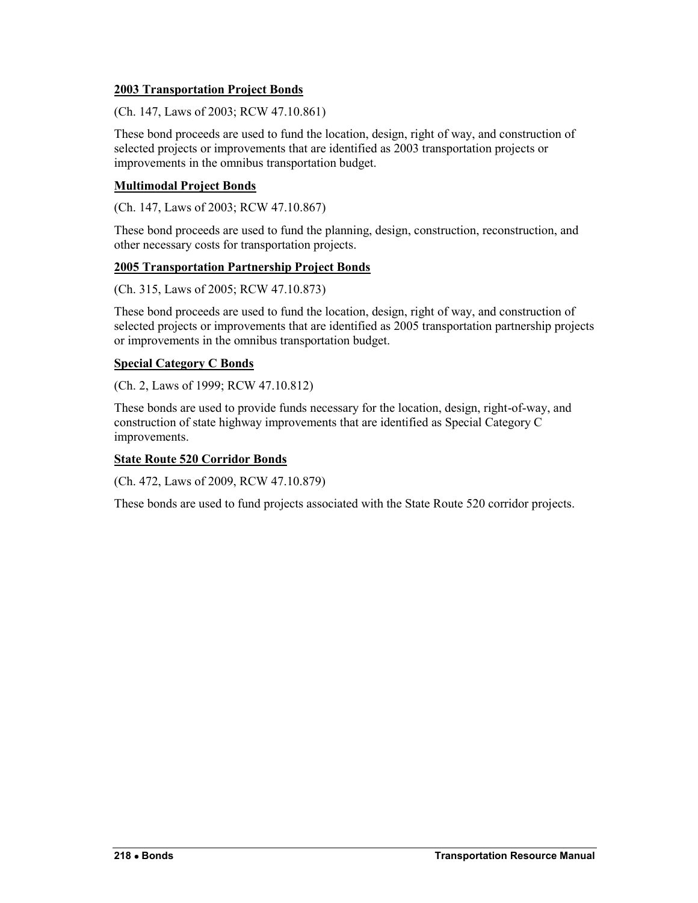#### **2003 Transportation Project Bonds**

(Ch. 147, Laws of 2003; RCW 47.10.861)

These bond proceeds are used to fund the location, design, right of way, and construction of selected projects or improvements that are identified as 2003 transportation projects or improvements in the omnibus transportation budget.

### **Multimodal Project Bonds**

(Ch. 147, Laws of 2003; RCW 47.10.867)

These bond proceeds are used to fund the planning, design, construction, reconstruction, and other necessary costs for transportation projects.

### **2005 Transportation Partnership Project Bonds**

(Ch. 315, Laws of 2005; RCW 47.10.873)

These bond proceeds are used to fund the location, design, right of way, and construction of selected projects or improvements that are identified as 2005 transportation partnership projects or improvements in the omnibus transportation budget.

### **Special Category C Bonds**

(Ch. 2, Laws of 1999; RCW 47.10.812)

These bonds are used to provide funds necessary for the location, design, right-of-way, and construction of state highway improvements that are identified as Special Category C improvements.

#### **State Route 520 Corridor Bonds**

(Ch. 472, Laws of 2009, RCW 47.10.879)

These bonds are used to fund projects associated with the State Route 520 corridor projects.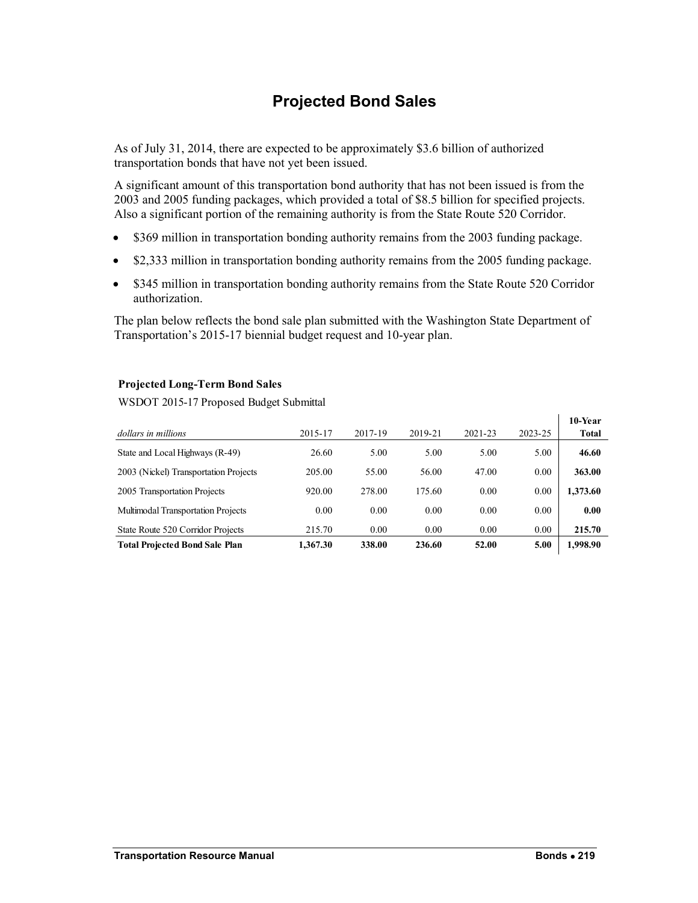# **Projected Bond Sales**

<span id="page-6-0"></span>As of July 31, 2014, there are expected to be approximately \$3.6 billion of authorized transportation bonds that have not yet been issued.

A significant amount of this transportation bond authority that has not been issued is from the 2003 and 2005 funding packages, which provided a total of \$8.5 billion for specified projects. Also a significant portion of the remaining authority is from the State Route 520 Corridor.

- \$369 million in transportation bonding authority remains from the 2003 funding package.
- \$2,333 million in transportation bonding authority remains from the 2005 funding package.
- \$345 million in transportation bonding authority remains from the State Route 520 Corridor authorization.

The plan below reflects the bond sale plan submitted with the Washington State Department of Transportation's 2015-17 biennial budget request and 10-year plan.

#### **Projected Long-Term Bond Sales**

WSDOT 2015-17 Proposed Budget Submittal

| dollars in millions                   | 2015-17  | 2017-19 | 2019-21 | 2021-23 | 2023-25 | 10-Year<br>Total |
|---------------------------------------|----------|---------|---------|---------|---------|------------------|
| State and Local Highways (R-49)       | 26.60    | 5.00    | 5.00    | 5.00    | 5.00    | 46.60            |
| 2003 (Nickel) Transportation Projects | 205.00   | 55.00   | 56.00   | 47.00   | 0.00    | 363.00           |
| 2005 Transportation Projects          | 920.00   | 278.00  | 175.60  | 0.00    | 0.00    | 1,373.60         |
| Multimodal Transportation Projects    | 0.00     | 0.00    | 0.00    | 0.00    | 0.00    | 0.00             |
| State Route 520 Corridor Projects     | 215.70   | 0.00    | 0.00    | 0.00    | 0.00    | 215.70           |
| <b>Total Projected Bond Sale Plan</b> | 1.367.30 | 338.00  | 236.60  | 52.00   | 5.00    | 1.998.90         |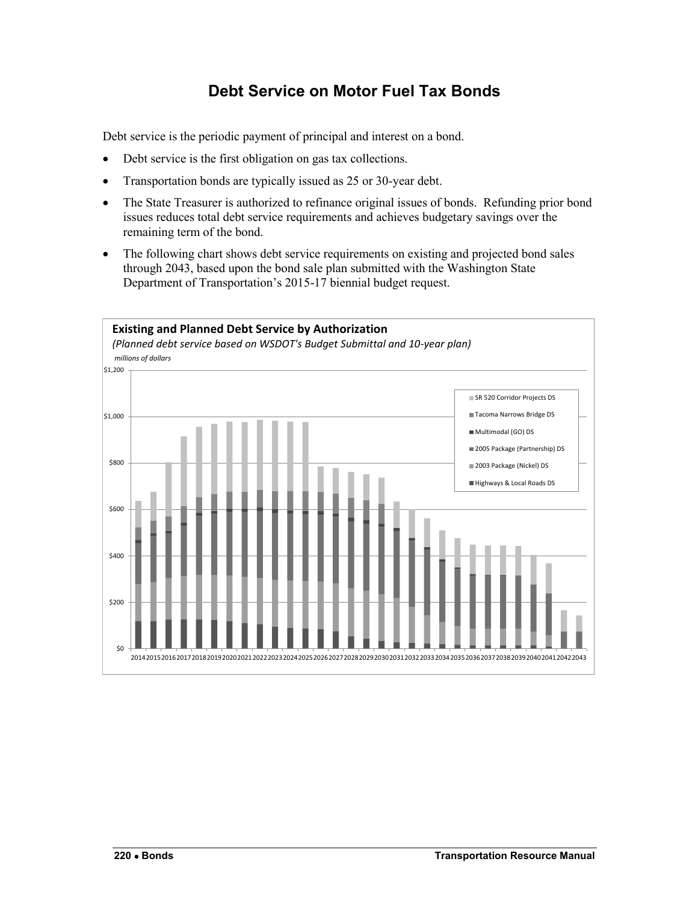# **Debt Service on Motor Fuel Tax Bonds**

<span id="page-7-0"></span>Debt service is the periodic payment of principal and interest on a bond.

- Debt service is the first obligation on gas tax collections.
- Transportation bonds are typically issued as 25 or 30-year debt.
- The State Treasurer is authorized to refinance original issues of bonds. Refunding prior bond issues reduces total debt service requirements and achieves budgetary savings over the remaining term of the bond.
- The following chart shows debt service requirements on existing and projected bond sales through 2043, based upon the bond sale plan submitted with the Washington State Department of Transportation's 2015-17 biennial budget request.

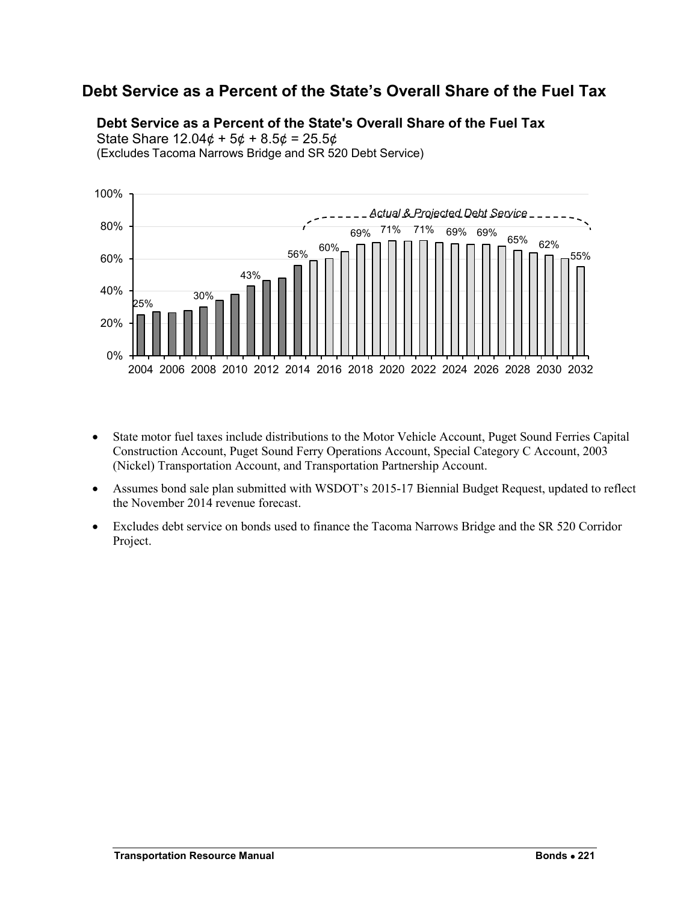### <span id="page-8-0"></span>**Debt Service as a Percent of the State's Overall Share of the Fuel Tax**

**Debt Service as a Percent of the State's Overall Share of the Fuel Tax**

State Share  $12.04¢ + 5¢ + 8.5¢ = 25.5¢$ (Excludes Tacoma Narrows Bridge and SR 520 Debt Service)



- State motor fuel taxes include distributions to the Motor Vehicle Account, Puget Sound Ferries Capital Construction Account, Puget Sound Ferry Operations Account, Special Category C Account, 2003 (Nickel) Transportation Account, and Transportation Partnership Account.
- Assumes bond sale plan submitted with WSDOT's 2015-17 Biennial Budget Request, updated to reflect the November 2014 revenue forecast.
- Excludes debt service on bonds used to finance the Tacoma Narrows Bridge and the SR 520 Corridor Project.